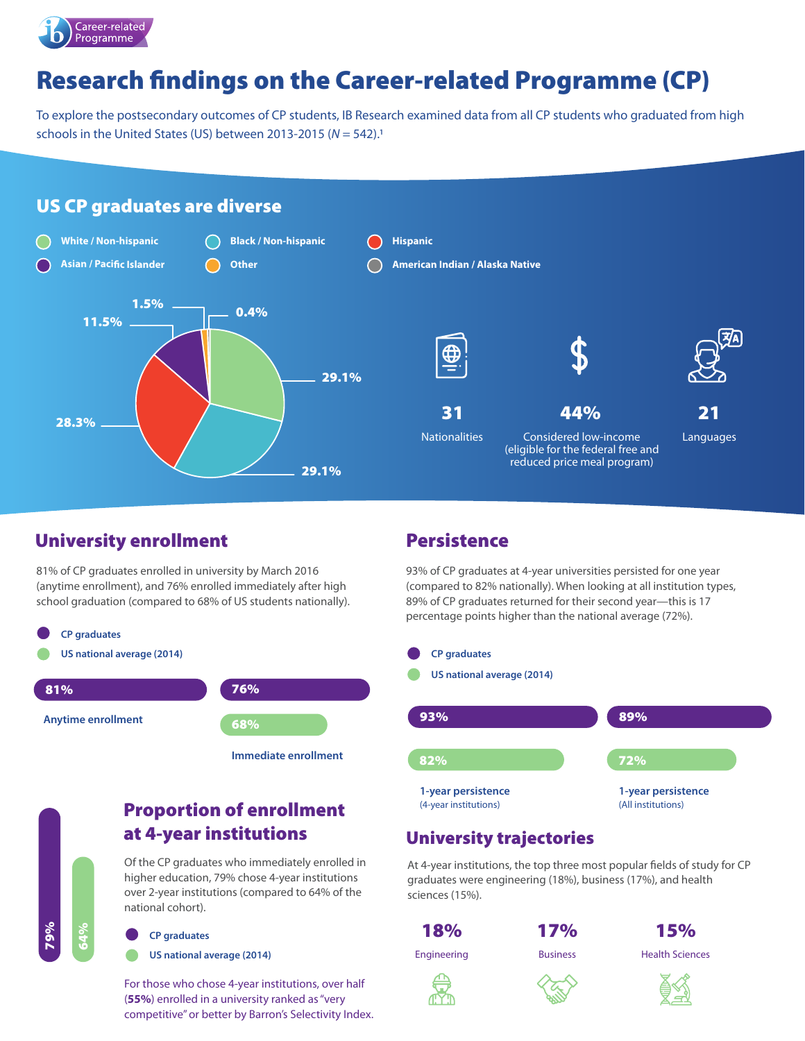

# Research findings on the Career-related Programme (CP)

To explore the postsecondary outcomes of CP students, IB Research examined data from all CP students who graduated from high schools in the United States (US) between 2013-2015 (*N* = 542).1

#### US CP graduates are diverse



# University enrollment

81% of CP graduates enrolled in university by March 2016 (anytime enrollment), and 76% enrolled immediately after high school graduation (compared to 68% of US students nationally).



**Immediate enrollment**

### Proportion of enrollment at 4-year institutions

Of the CP graduates who immediately enrolled in higher education, 79% chose 4-year institutions over 2-year institutions (compared to 64% of the national cohort).

#### **CP graduates**

79%

64%

**US national average (2014)**

For those who chose 4-year institutions, over half (**55%**) enrolled in a university ranked as "very competitive" or better by Barron's Selectivity Index.

# **Persistence**

93% of CP graduates at 4-year universities persisted for one year (compared to 82% nationally). When looking at all institution types, 89% of CP graduates returned for their second year—this is 17 percentage points higher than the national average (72%).



#### University trajectories

At 4-year institutions, the top three most popular fields of study for CP graduates were engineering (18%), business (17%), and health sciences (15%).





Engineering Business Health Sciences